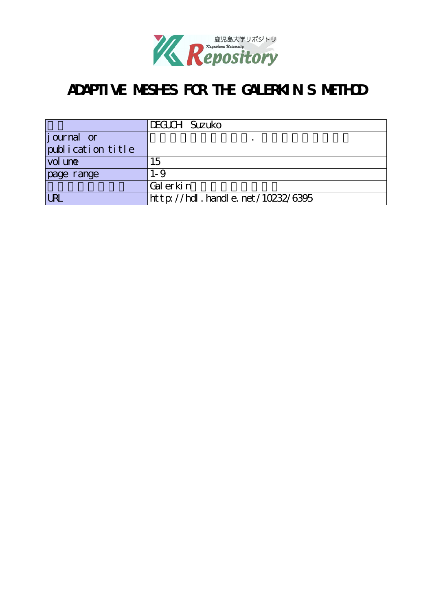

# ADAPTIVE MESHES FOR THE GALERKIN'S METHOD

|                   | DEGLCH Suzuko                      |  |  |  |  |
|-------------------|------------------------------------|--|--|--|--|
| journal or        |                                    |  |  |  |  |
| publication title |                                    |  |  |  |  |
| vol une           | 15                                 |  |  |  |  |
| page range        | $1 - 9$                            |  |  |  |  |
|                   | Gal erkin                          |  |  |  |  |
| <b>LRI</b>        | http://hdl. handle. net/10232/6395 |  |  |  |  |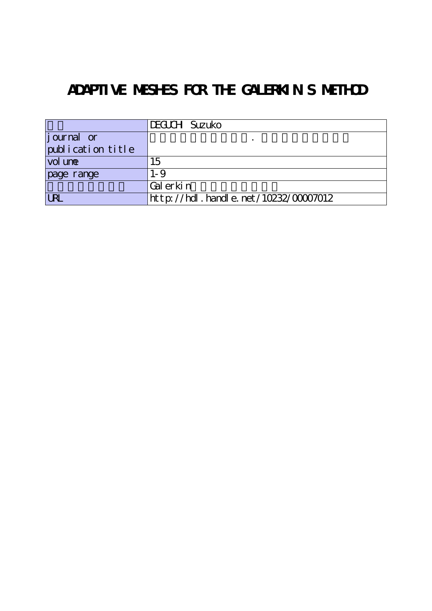# ADAPTIVE MESHES FOR THE GALERKIN'S METHOD

|                                  | DEGLCH Suzuko                             |  |  |  |
|----------------------------------|-------------------------------------------|--|--|--|
| $\left  \text{j our} \right $ or |                                           |  |  |  |
| publication title                |                                           |  |  |  |
| vol une                          | 15                                        |  |  |  |
| page range                       | $1 - 9$                                   |  |  |  |
|                                  | Gal erkin                                 |  |  |  |
| <b>URL</b>                       | $ht$ tp://hdl. handle. net/10232/00007012 |  |  |  |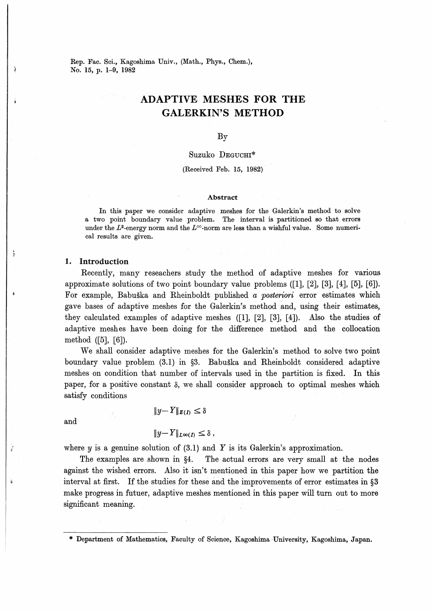Rep. Fac. Sci., Kagoshima Univ., (Math., Phys., Chem.), No. 15, p. 1-9, 1982

## ADAPTIVE MESHES FOR THE GALERKIN'S METHOD

By

### Suzuko DEGUCHI\*

(Received Feb. 15, 1982)

#### Abstract

In this paper we consider adaptive meshes for the Galerkin's method to solve a two point boundary value problem. The interval is partitioned so that errors under the  $L^2$ -energy norm and the  $L^{\infty}$ -norm are less than a wishful value. Some numerical results are given.

#### 1. Introduction

Recently, many reseachers study the method of adaptive meshes for various approximate solutions of two point boundary value problems ([1], [2], [3], [4], [5], [6]). For example, Babuška and Rheinboldt published a posteriori error estimates which gave bases of adaptive meshes for the Galerkin's method and, using their estimates, they calculated examples of adaptive meshes ([1], [2], [3], [4]). Also the studies of adaptive meshes have been doing for the difference method and the collocation method ([5], [6]).

We shall consider adaptive meshes for the Galerkin's method to solve two point boundary value problem  $(3.1)$  in  $\S$ . Babuška and Rheinboldt considered adaptive meshes on condition that number of intervals used in the partition is fixed. In paper, for a positive constant  $\delta$ , we shall consider approach to optimal meshes which satisfy conditions

and

## $||y - Y||_{E(D)} \leq \delta$

$$
||y-Y||_{L^{\infty}(I)} \leq \delta,
$$

where  $y$  is a genuine solution of (3.1) and  $Y$  is its Galerkin's approximation.

The examples are shown in §4. The actual errors are very small at the nodes against the wished errors. Also it isn't mentioned in tins paper how we partition the interval at first. If the studies for these and the improvements of error estimates in  $\S3$ make progress in futuer, adaptive meshes mentioned in this paper will turn out to more significant meaning.

\* Department of Mathematics, Faculty of Science, Kagoshima University, Kagoshima, Japan.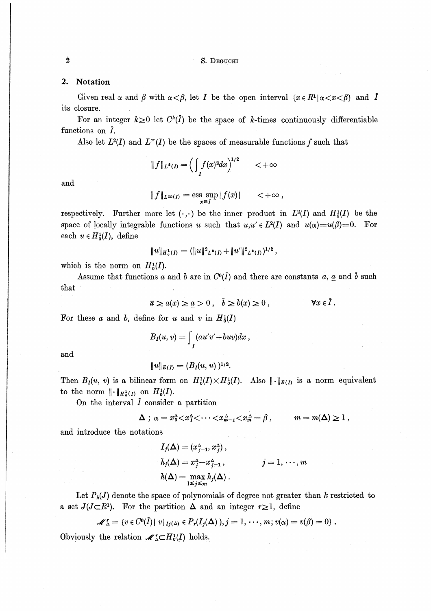#### S. DEGUCHI

#### $2.$ Notation

Given real  $\alpha$  and  $\beta$  with  $\alpha < \beta$ , let I be the open interval  $\{x \in R^1 | \alpha < x < \beta\}$  and I its closure.

For an integer  $k\geq 0$  let  $C^k(\overline{I})$  be the space of k-times continuously differentiable functions on  $\overline{I}$ .

Also let  $L^2(I)$  and  $L^{\infty}(I)$  be the spaces of measurable functions f such that

$$
\|f\|_{L^2(I)} = \left(\int_I f(x)^2 dx\right)^{1/2} \qquad < +\infty
$$

and

$$
||f||_{L^{\infty}(I)} = \operatorname*{ess\; sup}_{x \in I} |f(x)| \qquad < +\infty ,
$$

respectively. Further more let  $(\cdot, \cdot)$  be the inner product in  $L^2(I)$  and  $H_0^1(I)$  be the space of locally integrable functions u such that  $u, u' \in L^2(I)$  and  $u(\alpha) = u(\beta) = 0$ . For each  $u \in H_0^1(I)$ , define

$$
||u||_{H_0^1(I)} = (||u||^2_{L^2(I)} + ||u'||^2_{L^2(I)})^{1/2},
$$

which is the norm on  $H_0^1(I)$ .

Assume that functions a and b are in  $C^0(\bar{I})$  and there are constants  $\bar{a}$ , a and  $\bar{b}$  such that

> $\bar{a} \ge a(x) \ge \underline{a} > 0$ ,  $\bar{b} \ge b(x) \ge 0$ ,  $\forall x \in \overline{I}$ .

For these a and b, define for u and v in  $H_0^1(I)$ 

$$
B_I(u,v)=\int_I(au'v'+buv)dx,
$$

$$
I^{(m)} = I^{(m)} \prod_{i=1}^{n} I^{(m-i)}
$$

 $||u||_{E(I)} = (B_I(u, u))^{1/2}.$ 

Then  $B_I(u, v)$  is a bilinear form on  $H_0^1(I) \times H_0^1(I)$ . Also  $\|\cdot\|_{E(I)}$  is a norm equivalent to the norm  $\|\cdot\|_{H_0^1(I)}$  on  $H_0^1(I)$ .

On the interval  $\overline{I}$  consider a partition

$$
\Delta \; ; \; \alpha = x_0^{\Delta} < x_1^{\Delta} < \cdots < x_{m-1}^{\Delta} < x_m^{\Delta} = \beta \; , \qquad m = m(\Delta) \geq 1 \; ,
$$

and introduce the notations

$$
I_j(\Delta) = (x_{j-1}^{\Delta}, x_j^{\Delta}),
$$
  
\n
$$
h_j(\Delta) = x_j^{\Delta} - x_{j-1}^{\Delta},
$$
  
\n
$$
j = 1, \dots, m
$$
  
\n
$$
h(\Delta) = \max_{1 \le j \le m} h_j(\Delta).
$$

Let  $P_k(J)$  denote the space of polynomials of degree not greater than k restricted to a set  $J(J\subset R^1)$ . For the partition  $\Delta$  and an integer  $r\geq 1$ , define

$$
\mathscr{M}\mathbf{X} = \{v \in C^0(\overline{I}) \mid v|_{I_j(\Delta)} \in P_r(I_j(\Delta)), j = 1, \cdots, m; v(\alpha) = v(\beta) = 0\}.
$$

Obviously the relation  $\mathscr{M}_\Delta^r \subset H_0^1(I)$  holds.

 $\dot{2}$ 

and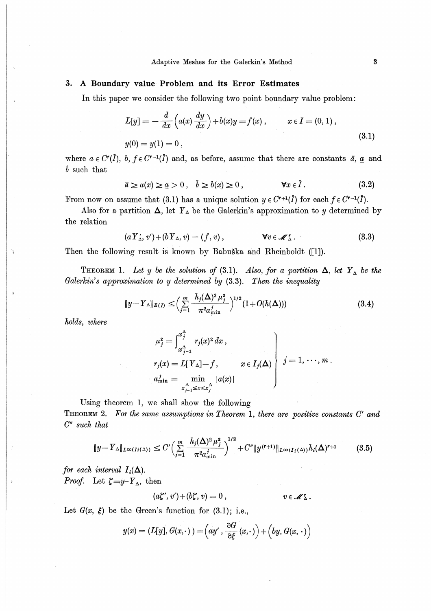### 3. A Boundary value Problem and its Error Estimates

In this paper we consider the following two point boundary value problem:

$$
L[y] = -\frac{d}{dx}\left(a(x)\frac{dy}{dx}\right) + b(x)y = f(x), \qquad x \in I = (0, 1),
$$
  

$$
y(0) = y(1) = 0,
$$
 (3.1)

where  $a \in C^{r}(\overline{I}), b, f \in C^{r-1}(\overline{I})$  and, as before, assume that there are constants  $\overline{a}, \underline{a}$  and  $\dot{b}$  such that

$$
\bar{a} \ge a(x) \ge \underline{a} > 0 \,, \quad b \ge b(x) \ge 0 \,, \qquad \qquad \forall x \in \bar{I} \,. \tag{3.2}
$$

From now on assume that (3.1) has a unique solution  $y \in C^{r+1}(\overline{I})$  for each  $f \in C^{r-1}(\overline{I})$ .

Also for a partition  $\Delta$ , let  $Y_{\Delta}$  be the Galerkin's approximation to y determined by the relation

$$
(aY'_{\Delta}, v') + (bY_{\Delta}, v) = (f, v), \qquad \forall v \in \mathscr{M}'_{\Delta}.
$$
 (3.3)

Then the following result is known by Babuška and Rheinboldt ([1]).

**THEOREM** 1. Let y be the solution of (3.1). Also, for a partition  $\Delta$ , let  $Y_{\Delta}$  be the Galerkin's approximation to y determined by (3.3). Then the inequality

$$
||y - Y_{\Delta}||_{E(I)} \leq \left(\sum_{j=1}^{m} \frac{h_j(\Delta)^2 \mu_j^2}{\pi^2 a_{\min}^j}\right)^{1/2} (1 + O(h(\Delta))) \tag{3.4}
$$

holds, where

 $\gamma$ 

$$
\mu_j^2 = \int_{x_{j-1}^{\Delta}}^{x_j^2} r_j(x)^2 dx,
$$
  
\n
$$
r_j(x) = L[Y_{\Delta}] - f, \qquad x \in I_j(\Delta)
$$
  
\n
$$
a_{\min}^j = \min_{\substack{x_{j-1}^{\Delta} \le x \le x_j^{\Delta}}} |a(x)|
$$
  $j = 1, \dots, m.$ 

Using theorem 1, we shall show the following

THEOREM 2. For the same assumptions in Theorem 1, there are positive constants C' and  $C''$  such that

$$
\|y - Y_{\Delta}\|_{L^{\infty}(I_i(\Delta))} \le C' \Big(\sum_{j=1}^m \frac{h_j(\Delta)^2 \mu_j^2}{\pi^2 a_{\min}^j}\Big)^{1/2} + C'' \|y^{(r+1)}\|_{L^{\infty}(I_i(\Delta))} h_i(\Delta)^{r+1} \tag{3.5}
$$

for each interval  $I_i(\Delta)$ . *Proof.* Let  $\zeta = y - Y_{\Delta}$ , then

$$
(a\zeta',v')+(b\zeta,v)=0\,,\qquad v\in\mathscr{M}'_{\Delta}.
$$

Let  $G(x, \xi)$  be the Green's function for (3.1); i.e.,

$$
y(x) = (L[y], G(x,\cdot)) = \left( ay', \frac{\partial G}{\partial \xi}(x,\cdot)\right) + \left(by, G(x,\cdot)\right)
$$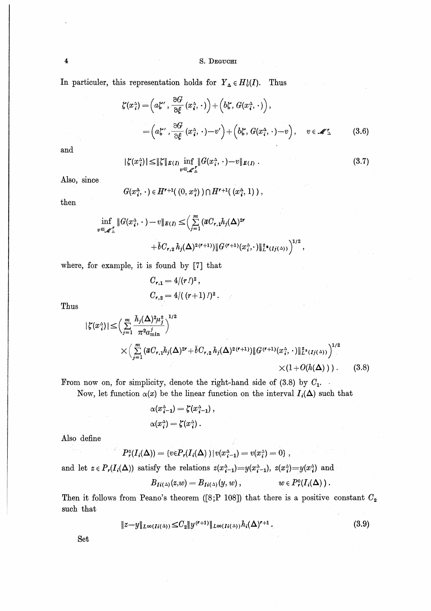#### S. DEGUCHI

In particular, this representation holds for  $Y_{\Delta} \in H_0^1(I)$ . Thus

$$
\zeta(x_i^{\Delta}) = \left(a\xi', \frac{\partial G}{\partial \xi}(x_i^{\Delta}, \cdot)\right) + \left(b\xi, G(x_i^{\Delta}, \cdot)\right),
$$
  
= 
$$
\left(a\xi', \frac{\partial G}{\partial \xi}(x_i^{\Delta}, \cdot) - v'\right) + \left(b\xi, G(x_i^{\Delta}, \cdot) - v\right), \quad v \in \mathscr{M}'_{\Delta}
$$
(3.6)

and

 $\ddagger$ 

$$
|\zeta(x_i^{\Delta})| \le ||\zeta||_{E(I)} \inf_{v \in \mathscr{M}_{\Delta}^{\Delta}} ||G(x_i^{\Delta}, \cdot) - v||_{E(I)}.
$$
\n(3.7)

Also, since

$$
G(x_i^{\Delta},\,\cdot\,)\in H^{r+1}(\,(0,\,x_i^{\Delta})\,)\cap H^{r+1}(\,(x_i^{\Delta},\,1)\,)\ ,
$$

then

$$
\inf_{v \in \mathcal{M}_{\Delta}^{\wedge}} \|G(x_i^{\Delta}, \cdot) - v\|_{E(I)} \leq \Big(\sum_{j=1}^m (\bar{a}C_{r,1}h_j(\Delta)^{2r} + \bar{b}C_{r,2}h_j(\Delta)^{2(r+1)}) \|G^{(r+1)}(x_i^{\Delta}, \cdot)\|_{L^2(Ij(\Delta))}^{2} \Big)^{1/2},
$$

where, for example, it is found by [7] that

$$
C_{r,1} = 4/(r\,l)^2,
$$
  
\n
$$
C_{r,2} = 4/((r+1)\,l)^2.
$$

Thus

$$
|\zeta(x_i^{\Delta})| \leq \left(\sum_{j=1}^m \frac{h_j(\Delta)^2 \mu_j^2}{\pi^2 a_{\min}^j}\right)^{1/2} \times \left(\sum_{j=1}^m (\overline{a}C_{r,1}h_j(\Delta)^{2r} + \overline{b}C_{r,2}h_j(\Delta)^{2(r+1)}) \|G^{(r+1)}(x_i^{\Delta}, \cdot)\|_{L^2(Ij(\Delta))}^2\right)^{1/2} \times (1+O(h(\Delta))). \tag{3.8}
$$

From now on, for simplicity, denote the right-hand side of  $(3.8)$  by  $C_1$ .

Now, let function  $\alpha(x)$  be the linear function on the interval  $I_i(\Delta)$  such that

$$
\alpha(x_{\,\boldsymbol{i}-\boldsymbol{1}}^{\scriptscriptstyle\Delta}) = \zeta(x_{\,\boldsymbol{i}-\boldsymbol{1}}^{\scriptscriptstyle\Delta}) \,,
$$
 
$$
\alpha(x_{\,\boldsymbol{i}}^{\scriptscriptstyle\Delta}) = \zeta(x_{\,\boldsymbol{i}}^{\scriptscriptstyle\Delta}) \,.
$$

Also define

 $\hat{a}$  ,  $\hat{b}$  ,  $\hat{b}$  ,  $\hat{b}$  ,  $\hat{b}$ 

$$
P_{\mathbf{r}}^{\mathfrak{0}}(I_{i}(\Delta)) = \{v \in P_{\mathbf{r}}(I_{i}(\Delta)) | v(x_{i-1}^{\Delta}) = v(x_{i}^{\Delta}) = 0\},\,
$$

and let  $z \in P_r(I_i(\Delta))$  satisfy the relations  $z(x_i^{\Delta}-1)=y(x_i^{\Delta}-1)$ ,  $z(x_i^{\Delta})=y(x_i^{\Delta})$  and

$$
B_{Ii(\Delta)}(z,w)=B_{Ii(\Delta)}(y,w)\,,\qquad\qquad w\in P^{\circ}_r(I_i(\Delta))\,.
$$

Then it follows from Peano's theorem ([8;P 108]) that there is a positive constant  $C_2$ such that

$$
||z-y||_{L^{\infty}(I_i(\Delta))} \leq C_2 ||y^{(r+1)}||_{L^{\infty}(I_i(\Delta))} h_i(\Delta)^{r+1}.
$$
\n(3.9)

Set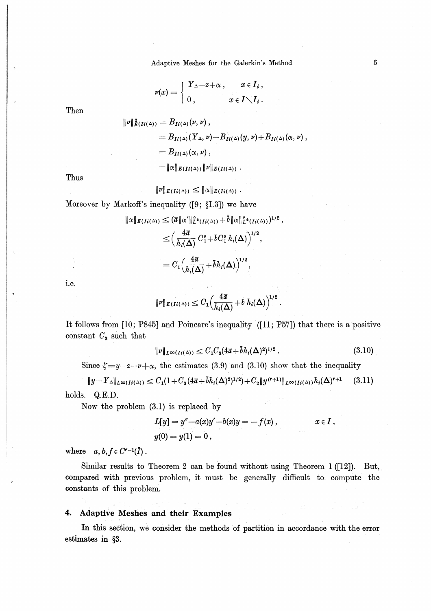Adaptive Meshes for the Galerkin's Method

$$
\nu(x) = \left\{ \begin{array}{ll} Y_{\Delta} - z + \alpha \,, & x \in I_i \,, \\[1mm] 0 \,, & x \in I \diagdown I_i \,. \end{array} \right.
$$

Then

 $\parallel$ 

$$
\begin{aligned} \nu\|_{E(Ii(\Delta))}^2 &= B_{Ii(\Delta)}(\nu,\nu) \,, \\ &= B_{Ii(\Delta)}(Y_{\Delta},\nu) - B_{Ii(\Delta)}^{\perp}(y,\nu) + B_{Ii(\Delta)}(\alpha,\nu) \,, \\ &= B_{Ii(\Delta)}(\alpha,\nu) \,, \\ &= \|\alpha\|_{E(Ii(\Delta))}\|\nu\|_{E(Ii(\Delta))} \,. \end{aligned}
$$

Thus

$$
\|\nu\|_{E(Ii(\Delta))} \leq \|\alpha\|_{E(Ii(\Delta))}.
$$

Moreover by Markoff's inequality  $(9; \S1.3)$  we have

$$
\|\alpha\|_{E(Ii(\Delta))} \leq (\overline{a}\|\alpha'\|_{L^2(Ii(\Delta))}^2 + \overline{b}\|\alpha\|_{L^2(Ii(\Delta))}^2)^{1/2},
$$
  

$$
\leq \left(\frac{4\overline{a}}{h_i(\Delta)} C_1^2 + \overline{b}C_1^2 h_i(\Delta)\right)^{1/2},
$$
  

$$
= C_1 \left(\frac{4\overline{a}}{h_i(\Delta)} + \overline{b}h_i(\Delta)\right)^{1/2},
$$

i.e.

$$
\|\nu\|_{E(Ii(\Delta))}\leq C_1\Big(\frac{4\overline{a}}{h_i(\Delta)}+\overline{b} h_i(\Delta)\Big)^{1/2}.
$$

It follows from [10; P845] and Poincare's inequality ([11; P57]) that there is a positive constant  $C_3$  such that

$$
\|\nu\|_{L^{\infty}(I_i(\Delta))} \le C_1 C_3 (4\bar{a} + \bar{b}h_i(\Delta)^2)^{1/2} \,. \tag{3.10}
$$

Since  $\zeta = y - z - \nu + \alpha$ , the estimates (3.9) and (3.10) show that the inequality

 $||y-Y_{\Delta}||_{L^{\infty}(I_{i}(\Delta))} \leq C_{1}(1+C_{3}(4\overline{a}+\overline{b}h_{i}(\Delta)^{2})^{1/2})+C_{2}||y^{(r+1)}||_{L^{\infty}(I_{i}(\Delta))}h_{i}(\Delta)^{r+1}$  $(3.11)$ holds. Q.E.D.

Now the problem  $(3.1)$  is replaced by

$$
L[y] = y'' - a(x)y' - b(x)y = -f(x), \t x \in I,
$$
  
y(0) = y(1) = 0,

where  $a, b, f \in C^{r-1}(\overline{I})$ .

Similar results to Theorem 2 can be found without using Theorem 1 ([12]). But, compared with previous problem, it must be generally difficult to compute the constants of this problem.

#### Adaptive Meshes and their Examples 4.

In this section, we consider the methods of partition in accordance with the error estimates in §3.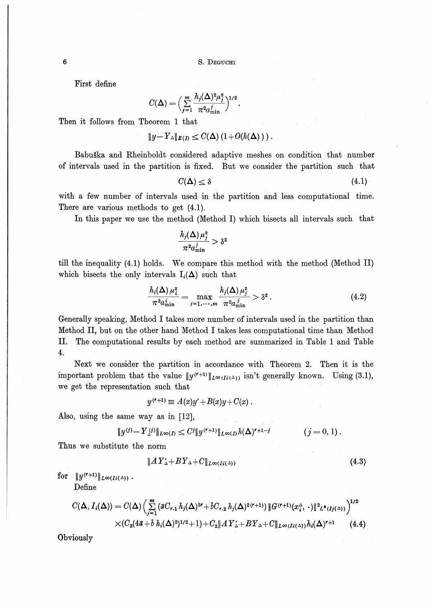First define

$$
C(\Delta) = \Big(\sum_{j=1}^m \frac{h_j(\Delta)^2 \mu_j^2}{\pi^2 a_{\min}^j}\Big)^{1/2}
$$

Then it follows from Theorem 1 that

$$
||y-Y_{\Delta}||_{E(I)} \leq C(\Delta) (1+O(h(\Delta))).
$$

Babuška and Rheinboldt considered adaptive meshes on condition that number of intervals used in the partition is fixed. But we consider the partition such that

$$
C(\Delta) \leq \delta \tag{4.1}
$$

with a few number of intervals used in the partition and less computational time. There are various methods to get (4.1).

In this paper we use the method (Method I) which bisects all intervals such that

$$
\frac{h_j(\mathbf{\Delta})\,\mu_j^2}{\pi^2 a^j_{\text{min}}} > \delta^2
$$

till the inequality (4.1) holds. We compare this method with the method (Method II) which bisects the only intervals  $I_i(\Delta)$  such that

$$
\frac{h_i(\Delta)\,\mu_i^2}{\pi^2 a_{\min}^i} = \max_{j=1,\,\ldots,m} \frac{h_j(\Delta)\,\mu_j^2}{\pi^2 a_{\min}^j} > \delta^2 \,. \tag{4.2}
$$

Generally speaking, Method I takes more number of intervals used in the partition than Method II, but on the other hand Method I takes less computational time than Method П. The computational results by each method are summarized in Table 1 and Table  $4.$ 

Next we consider the partition in accordance with Theorem 2. Then it is the important problem that the value  $||y^{(r+1)}||_{L^{\infty}(I;(\Delta))}$  isn't generally known. Using (3.1), we get the representation such that

$$
y^{(r+1)} \equiv A(x)y' + B(x)y + C(x) .
$$

Also, using the same way as in [12],

$$
||y^{(j)} - Y_{\Delta}^{(j)}||_{L^{\infty}(I)} \leq C^j ||y^{(r+1)}||_{L^{\infty}(I)} h(\Delta)^{r+1-j} \qquad (j = 0, 1).
$$

Thus we substitute the norm

$$
||AY'_{\Delta} + BY_{\Delta} + C||_{L^{\infty}(I_i(\Delta))}
$$
\n(4.3)

for  $||y^{(r+1)}||_{L^{\infty}(I_i(\Delta))}$ .

Define

$$
C(\Delta, I_i(\Delta)) = C(\Delta) \left( \sum_{j=1}^m (\overline{a} C_{r,1} h_j(\Delta)^{2r} + \overline{b} C_{r,2} h_j(\Delta)^{2(r+1)}) \|G^{(r+1)}(x_i^{\Delta}, \cdot)\|_{L^\Phi(I_j(\Delta))}^2 \right)^{1/2}
$$
  
× $(C_3(4\overline{a} + \overline{b} h_i(\Delta)^2)^{1/2} + 1) + C_2 \|A Y_{\Delta} + B Y_{\Delta} + C \|_{L^\infty(I_i(\Delta))} h_i(\Delta)^{r+1}$  (4.4)

Obviously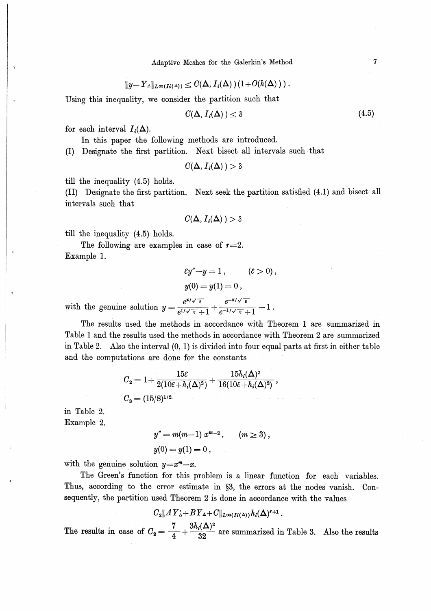$$
||y-Y_{\Delta}||_{L^{\infty}(I_{i}(\Delta))}\leq C(\Delta, I_{i}(\Delta))(1+O(h(\Delta))).
$$

Using this inequality, we consider the partition such that

$$
C(\Delta, I_i(\Delta)) \le \delta \tag{4.5}
$$

for each interval  $I_i(\Delta)$ .

In this paper the following methods are introduced. (I) Designate the first partition. Next bisect all intervals such that

 $C(\Delta, I_i(\Delta)) > \delta$ 

till the inequality (4.5) holds.

(II) Designate the first partition. Next seek the partition satisfied (4.1) and bisect all intervals such that

$$
C(\Delta, I_i(\Delta)) > \delta
$$

till the inequality (4.5) holds.

The following are examples in case of  $r=2$ . Example 1.

$$
\varepsilon y'' - y = 1, \qquad (\varepsilon > 0),
$$
  
\n
$$
y(0) = y(1) = 0,
$$
  
\n
$$
\frac{e^{x/\sqrt{\varepsilon}}}{e^{\sqrt{\varepsilon}} + e^{-x/\sqrt{\varepsilon}}} = 1.
$$

with the genuine solution  $y = \frac{c}{e^{1/\sqrt{\epsilon}}+1} + \frac{c}{e^{-1/\sqrt{\epsilon}}+1}$ 

The results used the methods in accordance with Theorem 1 are summarized in Table 1 and the results used the methods in accordance with Theorem 2 are summarized in Table 2. Also the interval  $(0, 1)$  is divided into four equal parts at first in either table and the computations are done for the constants

$$
C_2 = 1 + \frac{15\varepsilon}{2(10\varepsilon + h_i(\Delta)^2)} + \frac{15h_i(\Delta)^2}{16(10\varepsilon + h_i(\Delta)^2)},
$$
  
\n
$$
C_3 = (15/8)^{1/2}.
$$

in Table 2. Example 2.

> $y'' = m(m-1) x^{m-2}$ ,  $(m \ge 3)$ ,  $y(0) = y(1) = 0$ ,

with the genuine solution  $y=x^m-x$ .

The Green's function for this problem is a linear function for each variables. Thus, according to the error estimate in §3, the errors at the nodes vanish. Consequently, the partition used Theorem 2 is done in accordance with the values

$$
C_2||AY'_\Delta+BY_\Delta+C||_{L^\infty(I^i(\Delta))}h_i(\Delta)^{r+1}.
$$

The results in case of  $C_2 = \frac{7}{4} + \frac{3h_i(\Delta)^2}{32}$  are summarized in Table 3. Also the results

 $\overline{7}$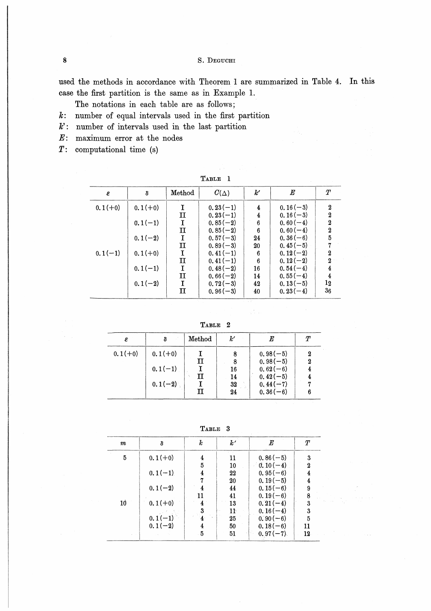S. DEGUCHI

used the methods in accordance with Theorem 1 are summarized in Table 4. In this case the first partition is the same as in Example 1.

The notations in each table are as follows;

- $k$ : number of equal intervals used in the first partition
- $k$ : number of intervals used in the last partition
- $E$ : maximum error at the nodes
- $T:$  computational time (s)

| RT.<br>ю<br>١. |  |
|----------------|--|
|----------------|--|

| ε         | δ         | $\rm Method$ | $C(\Delta)$ | k'    | $\boldsymbol{E}$ | $\pmb{T}$        |
|-----------|-----------|--------------|-------------|-------|------------------|------------------|
| $0.1(+0)$ | $0.1(+0)$ | I            | $0.23(-1)$  | 4     | $0.16(-3)$       | $\boldsymbol{2}$ |
|           |           | п            | $0.23(-1)$  | 4     | $0.16(-3)$       | 2                |
|           | $0.1(-1)$ | I            | $0.85(-2)$  | 6     | $0.60(-4)$       | $\overline{2}$   |
|           |           | п            | $0.85(-2)$  | 6     | $0.60(-4)$       | $\boldsymbol{2}$ |
|           | $0.1(-2)$ | I            | $0.57(-3)$  | 24    | $0.36(-6)$       | 5                |
|           |           | п            | $0.89(-3)$  | 20    | $0.45(-5)$       |                  |
| $0.1(-1)$ | $0.1(+0)$ | I            | $0.41(-1)$  | 6     | $0.12(-2)$       | $\mathbf 2$      |
|           |           | $\mathbf{I}$ | $0.41(-1)$  | 6     | $0.12(-2)$       | $\overline{2}$   |
|           | $0.1(-1)$ | I            | $0.48(-2)$  | 16    | $0.54(-4)$       | 4                |
|           |           | $\mathbf{I}$ | $0.66(-2)$  | 14    | $0.55(-4)$       | 4                |
|           | $0.1(-2)$ | I            | $0.72(-3)$  | 42    | $0.13(-5)$       | 12               |
|           |           | $\mathbf H$  | $0.96(-3)$  | $-40$ | $0.23(-4)$       | $36\,$           |

TABLE 2

 $\frac{1}{2}$  ,  $\frac{1}{2}$  ,  $\frac{1}{2}$ 

| ε         |           | Method | k'       |                          | $\tau$ |
|-----------|-----------|--------|----------|--------------------------|--------|
| $0.1(+0)$ | $0.1(+0)$ | п      | 8        | $0.98(-5)$<br>$0.98(-5)$ | 2      |
|           | $0.1(-1)$ | п      | 16<br>14 | $0.62(-6)$<br>$0.42(-5)$ |        |
|           | $0.1(-2)$ | п      | 32<br>24 | $0.44(-7)$<br>$0.36(-6)$ |        |

TABLE 3

| $\it m$   | δ         | k                    | k'           | $\bm E$    | $\tau$           |
|-----------|-----------|----------------------|--------------|------------|------------------|
| 5         | $0.1(+0)$ | 4                    | 11           | $0.86(-5)$ | 3                |
|           |           | 5                    | 10           | $0.10(-4)$ | $\boldsymbol{2}$ |
|           | $0.1(-1)$ | 4                    | 22           | $0.95(-6)$ | 4                |
|           |           |                      | 20           | $0.19(-5)$ |                  |
|           | $0.1(-2)$ |                      | 44           | $0.15(-6)$ | 9                |
|           |           | 11                   | 41           | $0.19(-6)$ | 8                |
| <b>10</b> | $0.1(+0)$ |                      | 13           | $0.21(-4)$ | $\boldsymbol{3}$ |
|           |           |                      | $11^{\circ}$ | $0.16(-4)$ | 3                |
|           | $0.1(-1)$ | $\blacktriangleleft$ | 25           | $0.90(-6)$ | $\overline{5}$   |
|           | $0.1(-2)$ | 4                    | 50           | $0.18(-6)$ | 11               |
|           |           | -5                   | 51           | $0.97(-7)$ | 12               |

 $\boldsymbol{8}$